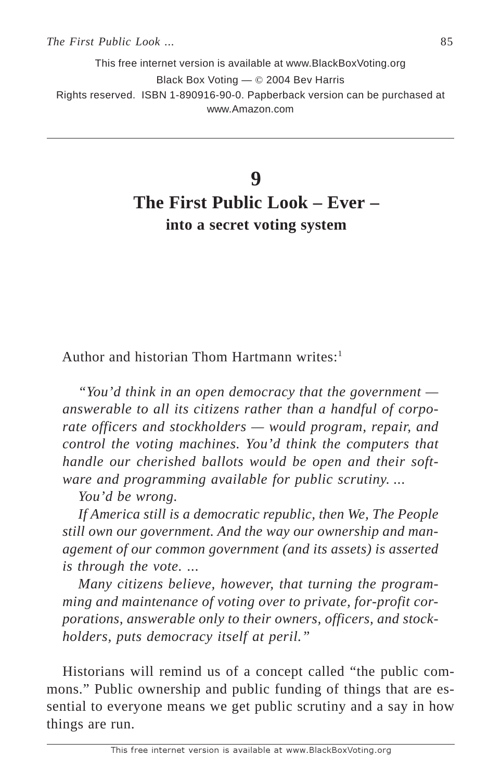Black Box Voting — © 2004 Bev Harris Rights reserved. ISBN 1-890916-90-0. Papberback version can be purchased at www.Amazon.com This free internet version is available at www.BlackBoxVoting.org

# **9 The First Public Look – Ever – into a secret voting system**

Author and historian Thom Hartmann writes:1

*"You'd think in an open democracy that the government answerable to all its citizens rather than a handful of corporate officers and stockholders — would program, repair, and control the voting machines. You'd think the computers that handle our cherished ballots would be open and their software and programming available for public scrutiny. ...*

*You'd be wrong.*

*If America still is a democratic republic, then We, The People still own our government. And the way our ownership and management of our common government (and its assets) is asserted is through the vote. ...*

*Many citizens believe, however, that turning the programming and maintenance of voting over to private, for-profit corporations, answerable only to their owners, officers, and stockholders, puts democracy itself at peril."*

Historians will remind us of a concept called "the public commons." Public ownership and public funding of things that are essential to everyone means we get public scrutiny and a say in how things are run.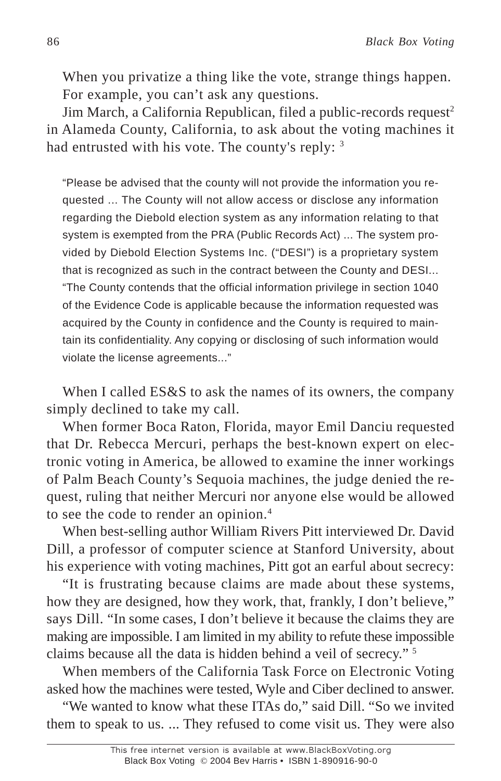When you privatize a thing like the vote, strange things happen. For example, you can't ask any questions.

Jim March, a California Republican, filed a public-records request<sup>2</sup> in Alameda County, California, to ask about the voting machines it had entrusted with his vote. The county's reply: <sup>3</sup>

"Please be advised that the county will not provide the information you requested ... The County will not allow access or disclose any information regarding the Diebold election system as any information relating to that system is exempted from the PRA (Public Records Act) ... The system provided by Diebold Election Systems Inc. ("DESI") is a proprietary system that is recognized as such in the contract between the County and DESI... "The County contends that the official information privilege in section 1040 of the Evidence Code is applicable because the information requested was acquired by the County in confidence and the County is required to maintain its confidentiality. Any copying or disclosing of such information would violate the license agreements..."

When I called ES&S to ask the names of its owners, the company simply declined to take my call.

When former Boca Raton, Florida, mayor Emil Danciu requested that Dr. Rebecca Mercuri, perhaps the best-known expert on electronic voting in America, be allowed to examine the inner workings of Palm Beach County's Sequoia machines, the judge denied the request, ruling that neither Mercuri nor anyone else would be allowed to see the code to render an opinion.<sup>4</sup>

When best-selling author William Rivers Pitt interviewed Dr. David Dill, a professor of computer science at Stanford University, about his experience with voting machines, Pitt got an earful about secrecy:

"It is frustrating because claims are made about these systems, how they are designed, how they work, that, frankly, I don't believe," says Dill. "In some cases, I don't believe it because the claims they are making are impossible. I am limited in my ability to refute these impossible claims because all the data is hidden behind a veil of secrecy." 5

When members of the California Task Force on Electronic Voting asked how the machines were tested, Wyle and Ciber declined to answer.

"We wanted to know what these ITAs do," said Dill. "So we invited them to speak to us. ... They refused to come visit us. They were also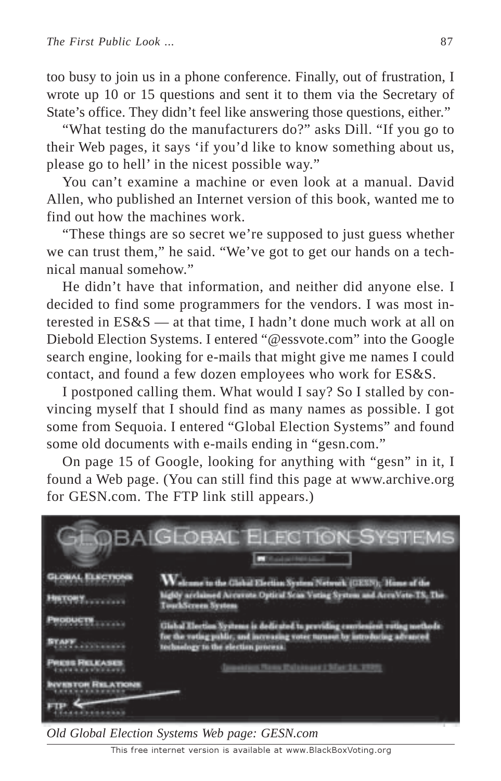too busy to join us in a phone conference. Finally, out of frustration, I wrote up 10 or 15 questions and sent it to them via the Secretary of State's office. They didn't feel like answering those questions, either."

"What testing do the manufacturers do?" asks Dill. "If you go to their Web pages, it says 'if you'd like to know something about us, please go to hell' in the nicest possible way."

You can't examine a machine or even look at a manual. David Allen, who published an Internet version of this book, wanted me to find out how the machines work.

"These things are so secret we're supposed to just guess whether we can trust them," he said. "We've got to get our hands on a technical manual somehow."

He didn't have that information, and neither did anyone else. I decided to find some programmers for the vendors. I was most interested in ES&S — at that time, I hadn't done much work at all on Diebold Election Systems. I entered "@essvote.com" into the Google search engine, looking for e-mails that might give me names I could contact, and found a few dozen employees who work for ES&S.

I postponed calling them. What would I say? So I stalled by convincing myself that I should find as many names as possible. I got some from Sequoia. I entered "Global Election Systems" and found some old documents with e-mails ending in "gesn.com."

On page 15 of Google, looking for anything with "gesn" in it, I found a Web page. (You can still find this page at www.archive.org for GESN.com. The FTP link still appears.)



*Old Global Election Systems Web page: GESN.com*

This free internet version is available at www.BlackBoxVoting.org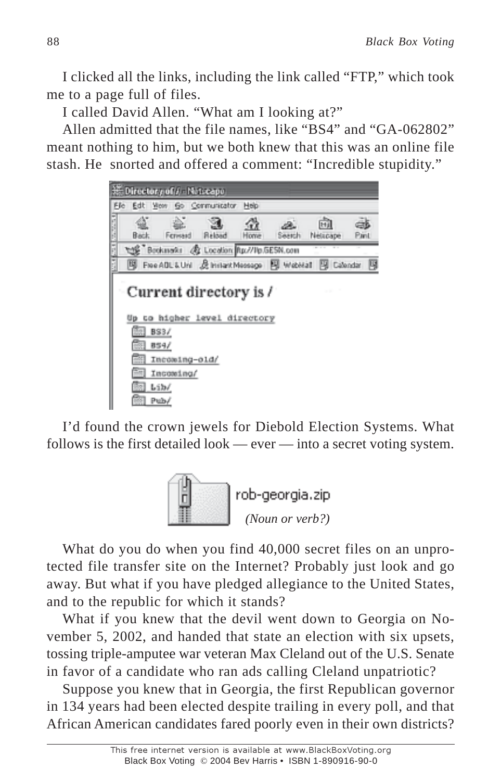I clicked all the links, including the link called "FTP," which took me to a page full of files.

I called David Allen. "What am I looking at?"

Allen admitted that the file names, like "BS4" and "GA-062802" meant nothing to him, but we both knew that this was an online file stash. He snorted and offered a comment: "Incredible stupidity."



I'd found the crown jewels for Diebold Election Systems. What follows is the first detailed look — ever — into a secret voting system.



What do you do when you find 40,000 secret files on an unprotected file transfer site on the Internet? Probably just look and go away. But what if you have pledged allegiance to the United States, and to the republic for which it stands?

What if you knew that the devil went down to Georgia on November 5, 2002, and handed that state an election with six upsets, tossing triple-amputee war veteran Max Cleland out of the U.S. Senate in favor of a candidate who ran ads calling Cleland unpatriotic?

Suppose you knew that in Georgia, the first Republican governor in 134 years had been elected despite trailing in every poll, and that African American candidates fared poorly even in their own districts?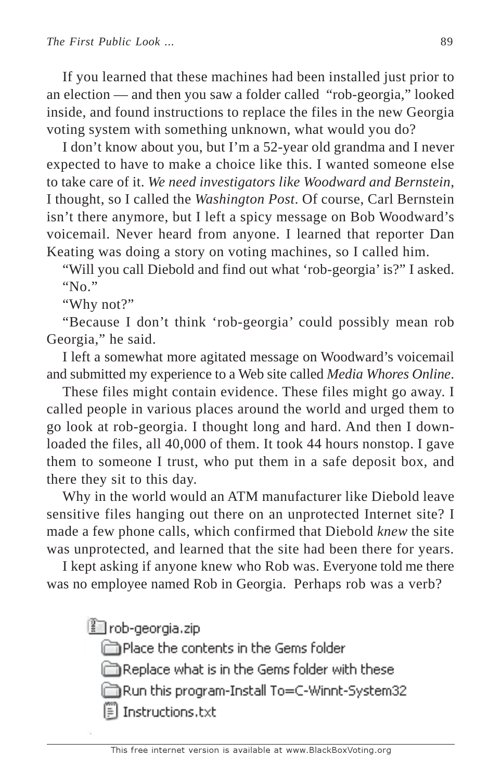If you learned that these machines had been installed just prior to an election — and then you saw a folder called "rob-georgia," looked inside, and found instructions to replace the files in the new Georgia voting system with something unknown, what would you do?

I don't know about you, but I'm a 52-year old grandma and I never expected to have to make a choice like this. I wanted someone else to take care of it. *We need investigators like Woodward and Bernstein*, I thought, so I called the *Washington Post*. Of course, Carl Bernstein isn't there anymore, but I left a spicy message on Bob Woodward's voicemail. Never heard from anyone. I learned that reporter Dan Keating was doing a story on voting machines, so I called him.

"Will you call Diebold and find out what 'rob-georgia' is?" I asked. "No."

"Why not?"

"Because I don't think 'rob-georgia' could possibly mean rob Georgia," he said.

I left a somewhat more agitated message on Woodward's voicemail and submitted my experience to a Web site called *Media Whores Online*.

These files might contain evidence. These files might go away. I called people in various places around the world and urged them to go look at rob-georgia. I thought long and hard. And then I downloaded the files, all 40,000 of them. It took 44 hours nonstop. I gave them to someone I trust, who put them in a safe deposit box, and there they sit to this day.

Why in the world would an ATM manufacturer like Diebold leave sensitive files hanging out there on an unprotected Internet site? I made a few phone calls, which confirmed that Diebold *knew* the site was unprotected, and learned that the site had been there for years.

I kept asking if anyone knew who Rob was. Everyone told me there was no employee named Rob in Georgia. Perhaps rob was a verb?

rob-georgia.zip

Place the contents in the Gems folder

Replace what is in the Gems folder with these

Run this program-Install To=C-Winnt-System32

<u> 『El Instructions.txt</u>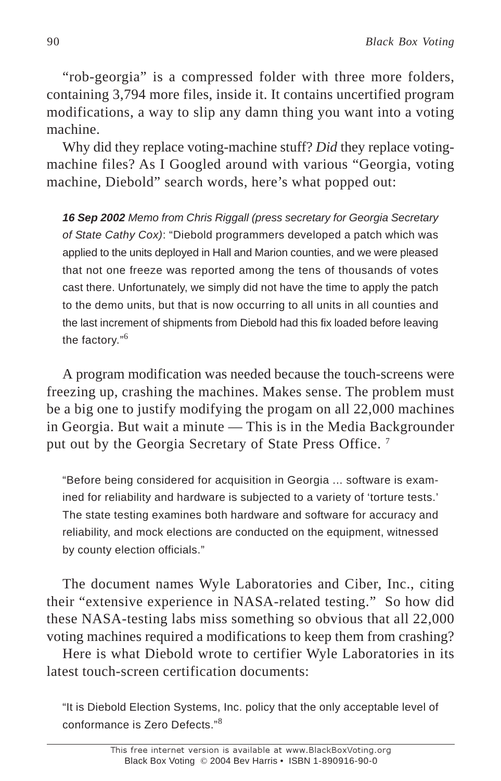"rob-georgia" is a compressed folder with three more folders, containing 3,794 more files, inside it. It contains uncertified program modifications, a way to slip any damn thing you want into a voting machine.

Why did they replace voting-machine stuff? *Did* they replace votingmachine files? As I Googled around with various "Georgia, voting machine, Diebold" search words, here's what popped out:

**16 Sep 2002** Memo from Chris Riggall (press secretary for Georgia Secretary of State Cathy Cox): "Diebold programmers developed a patch which was applied to the units deployed in Hall and Marion counties, and we were pleased that not one freeze was reported among the tens of thousands of votes cast there. Unfortunately, we simply did not have the time to apply the patch to the demo units, but that is now occurring to all units in all counties and the last increment of shipments from Diebold had this fix loaded before leaving the factory."<sup>6</sup>

A program modification was needed because the touch-screens were freezing up, crashing the machines. Makes sense. The problem must be a big one to justify modifying the progam on all 22,000 machines in Georgia. But wait a minute — This is in the Media Backgrounder put out by the Georgia Secretary of State Press Office. 7

"Before being considered for acquisition in Georgia ... software is examined for reliability and hardware is subjected to a variety of 'torture tests.' The state testing examines both hardware and software for accuracy and reliability, and mock elections are conducted on the equipment, witnessed by county election officials."

The document names Wyle Laboratories and Ciber, Inc., citing their "extensive experience in NASA-related testing." So how did these NASA-testing labs miss something so obvious that all 22,000 voting machines required a modifications to keep them from crashing?

Here is what Diebold wrote to certifier Wyle Laboratories in its latest touch-screen certification documents:

"It is Diebold Election Systems, Inc. policy that the only acceptable level of conformance is Zero Defects."<sup>8</sup>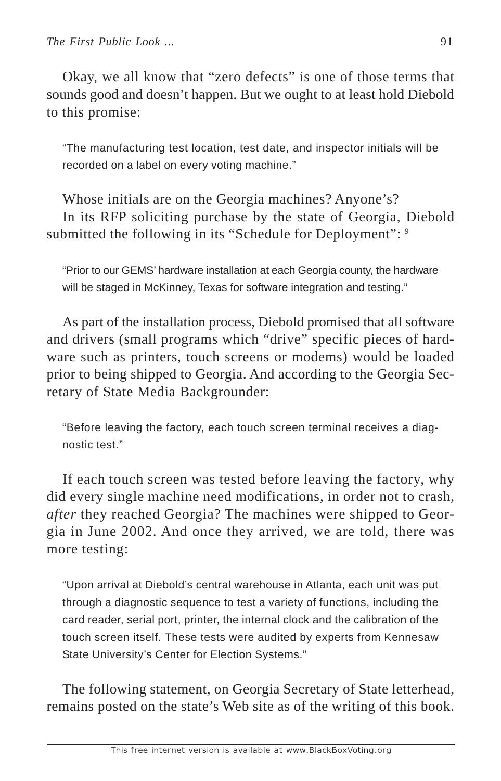Okay, we all know that "zero defects" is one of those terms that sounds good and doesn't happen. But we ought to at least hold Diebold to this promise:

"The manufacturing test location, test date, and inspector initials will be recorded on a label on every voting machine."

Whose initials are on the Georgia machines? Anyone's? In its RFP soliciting purchase by the state of Georgia, Diebold submitted the following in its "Schedule for Deployment": 9

"Prior to our GEMS' hardware installation at each Georgia county, the hardware will be staged in McKinney, Texas for software integration and testing."

As part of the installation process, Diebold promised that all software and drivers (small programs which "drive" specific pieces of hardware such as printers, touch screens or modems) would be loaded prior to being shipped to Georgia. And according to the Georgia Secretary of State Media Backgrounder:

"Before leaving the factory, each touch screen terminal receives a diagnostic test."

If each touch screen was tested before leaving the factory, why did every single machine need modifications, in order not to crash, *after* they reached Georgia? The machines were shipped to Georgia in June 2002. And once they arrived, we are told, there was more testing:

"Upon arrival at Diebold's central warehouse in Atlanta, each unit was put through a diagnostic sequence to test a variety of functions, including the card reader, serial port, printer, the internal clock and the calibration of the touch screen itself. These tests were audited by experts from Kennesaw State University's Center for Election Systems."

The following statement, on Georgia Secretary of State letterhead, remains posted on the state's Web site as of the writing of this book.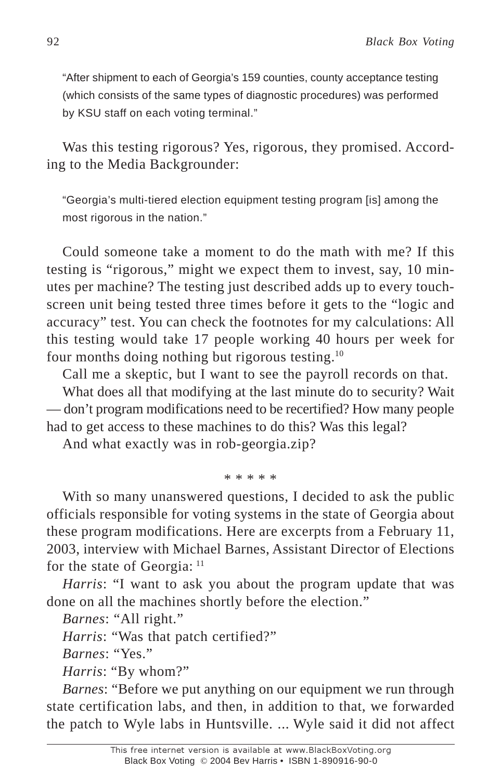"After shipment to each of Georgia's 159 counties, county acceptance testing (which consists of the same types of diagnostic procedures) was performed by KSU staff on each voting terminal."

Was this testing rigorous? Yes, rigorous, they promised. According to the Media Backgrounder:

"Georgia's multi-tiered election equipment testing program [is] among the most rigorous in the nation."

Could someone take a moment to do the math with me? If this testing is "rigorous," might we expect them to invest, say, 10 minutes per machine? The testing just described adds up to every touchscreen unit being tested three times before it gets to the "logic and accuracy" test. You can check the footnotes for my calculations: All this testing would take 17 people working 40 hours per week for four months doing nothing but rigorous testing.10

Call me a skeptic, but I want to see the payroll records on that.

What does all that modifying at the last minute do to security? Wait — don't program modifications need to be recertified? How many people had to get access to these machines to do this? Was this legal?

And what exactly was in rob-georgia.zip?

\* \* \* \* \*

With so many unanswered questions, I decided to ask the public officials responsible for voting systems in the state of Georgia about these program modifications. Here are excerpts from a February 11, 2003, interview with Michael Barnes, Assistant Director of Elections for the state of Georgia: 11

*Harris*: "I want to ask you about the program update that was done on all the machines shortly before the election."

*Barnes*: "All right."

*Harris*: "Was that patch certified?"

*Barnes*: "Yes."

*Harris*: "By whom?"

*Barnes*: "Before we put anything on our equipment we run through state certification labs, and then, in addition to that, we forwarded the patch to Wyle labs in Huntsville. ... Wyle said it did not affect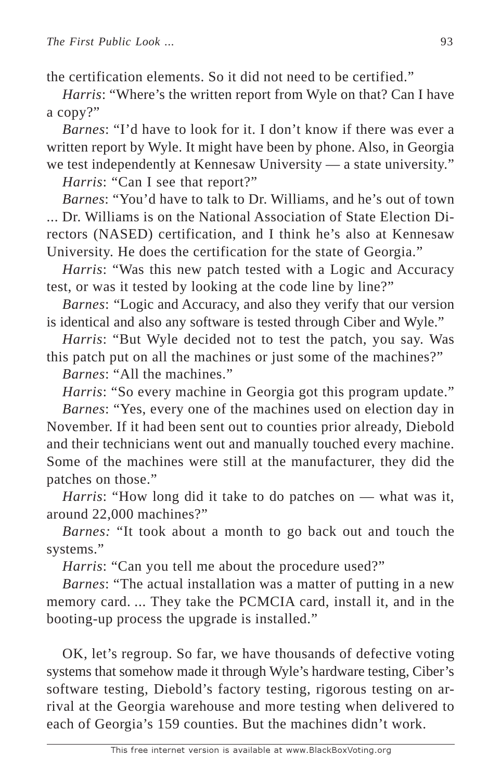the certification elements. So it did not need to be certified."

*Harris*: "Where's the written report from Wyle on that? Can I have a copy?"

*Barnes*: "I'd have to look for it. I don't know if there was ever a written report by Wyle. It might have been by phone. Also, in Georgia we test independently at Kennesaw University — a state university."

*Harris*: "Can I see that report?"

*Barnes*: "You'd have to talk to Dr. Williams, and he's out of town ... Dr. Williams is on the National Association of State Election Directors (NASED) certification, and I think he's also at Kennesaw University. He does the certification for the state of Georgia."

*Harris*: "Was this new patch tested with a Logic and Accuracy test, or was it tested by looking at the code line by line?"

*Barnes*: "Logic and Accuracy, and also they verify that our version is identical and also any software is tested through Ciber and Wyle."

*Harris*: "But Wyle decided not to test the patch, you say. Was this patch put on all the machines or just some of the machines?"

*Barnes*: "All the machines."

*Harris*: "So every machine in Georgia got this program update."

*Barnes*: "Yes, every one of the machines used on election day in November. If it had been sent out to counties prior already, Diebold and their technicians went out and manually touched every machine. Some of the machines were still at the manufacturer, they did the patches on those."

*Harris*: "How long did it take to do patches on — what was it, around 22,000 machines?"

*Barnes:* "It took about a month to go back out and touch the systems."

*Harris*: "Can you tell me about the procedure used?"

*Barnes*: "The actual installation was a matter of putting in a new memory card. ... They take the PCMCIA card, install it, and in the booting-up process the upgrade is installed."

OK, let's regroup. So far, we have thousands of defective voting systems that somehow made it through Wyle's hardware testing, Ciber's software testing, Diebold's factory testing, rigorous testing on arrival at the Georgia warehouse and more testing when delivered to each of Georgia's 159 counties. But the machines didn't work.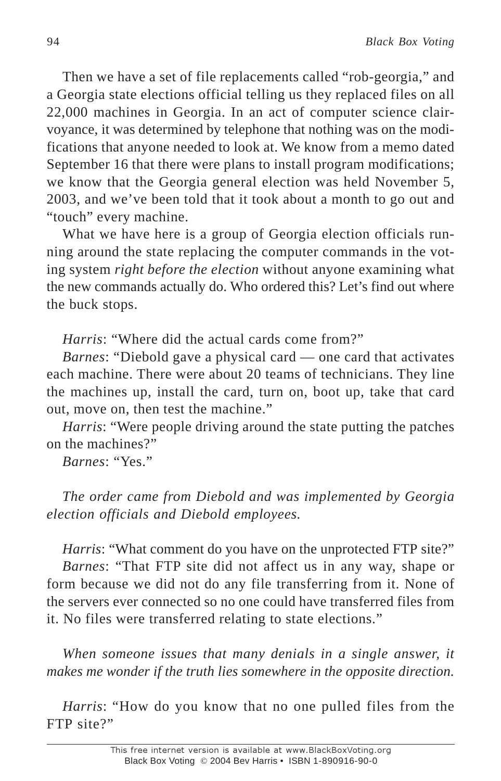Then we have a set of file replacements called "rob-georgia," and a Georgia state elections official telling us they replaced files on all 22,000 machines in Georgia. In an act of computer science clairvoyance, it was determined by telephone that nothing was on the modifications that anyone needed to look at. We know from a memo dated September 16 that there were plans to install program modifications; we know that the Georgia general election was held November 5, 2003, and we've been told that it took about a month to go out and "touch" every machine.

What we have here is a group of Georgia election officials running around the state replacing the computer commands in the voting system *right before the election* without anyone examining what the new commands actually do. Who ordered this? Let's find out where the buck stops.

*Harris*: "Where did the actual cards come from?"

*Barnes*: "Diebold gave a physical card — one card that activates each machine. There were about 20 teams of technicians. They line the machines up, install the card, turn on, boot up, take that card out, move on, then test the machine."

*Harris*: "Were people driving around the state putting the patches on the machines?"

*Barnes*: "Yes."

*The order came from Diebold and was implemented by Georgia election officials and Diebold employees.*

*Harris*: "What comment do you have on the unprotected FTP site?" *Barnes*: "That FTP site did not affect us in any way, shape or form because we did not do any file transferring from it. None of the servers ever connected so no one could have transferred files from it. No files were transferred relating to state elections."

*When someone issues that many denials in a single answer, it makes me wonder if the truth lies somewhere in the opposite direction.*

*Harris*: "How do you know that no one pulled files from the FTP site?"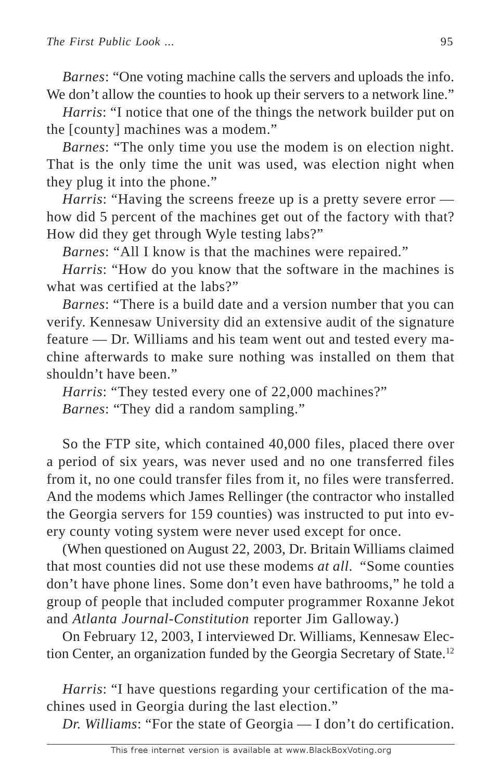*Barnes*: "One voting machine calls the servers and uploads the info. We don't allow the counties to hook up their servers to a network line."

*Harris*: "I notice that one of the things the network builder put on the [county] machines was a modem."

*Barnes*: "The only time you use the modem is on election night. That is the only time the unit was used, was election night when they plug it into the phone."

*Harris*: "Having the screens freeze up is a pretty severe error how did 5 percent of the machines get out of the factory with that? How did they get through Wyle testing labs?"

*Barnes*: "All I know is that the machines were repaired."

*Harris*: "How do you know that the software in the machines is what was certified at the labs?"

*Barnes*: "There is a build date and a version number that you can verify. Kennesaw University did an extensive audit of the signature feature — Dr. Williams and his team went out and tested every machine afterwards to make sure nothing was installed on them that shouldn't have been."

*Harris*: "They tested every one of 22,000 machines?"

*Barnes*: "They did a random sampling."

So the FTP site, which contained 40,000 files, placed there over a period of six years, was never used and no one transferred files from it, no one could transfer files from it, no files were transferred. And the modems which James Rellinger (the contractor who installed the Georgia servers for 159 counties) was instructed to put into every county voting system were never used except for once.

(When questioned on August 22, 2003, Dr. Britain Williams claimed that most counties did not use these modems *at all*. "Some counties don't have phone lines. Some don't even have bathrooms," he told a group of people that included computer programmer Roxanne Jekot and *Atlanta Journal-Constitution* reporter Jim Galloway.)

On February 12, 2003, I interviewed Dr. Williams, Kennesaw Election Center, an organization funded by the Georgia Secretary of State.12

*Harris*: "I have questions regarding your certification of the machines used in Georgia during the last election."

*Dr. Williams*: "For the state of Georgia — I don't do certification.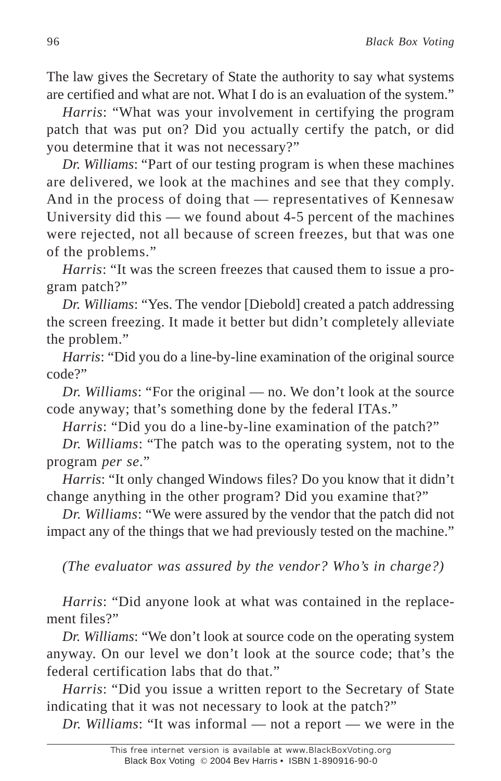The law gives the Secretary of State the authority to say what systems are certified and what are not. What I do is an evaluation of the system."

*Harris*: "What was your involvement in certifying the program patch that was put on? Did you actually certify the patch, or did you determine that it was not necessary?"

*Dr. Williams*: "Part of our testing program is when these machines are delivered, we look at the machines and see that they comply. And in the process of doing that — representatives of Kennesaw University did this — we found about 4-5 percent of the machines were rejected, not all because of screen freezes, but that was one of the problems."

*Harris*: "It was the screen freezes that caused them to issue a program patch?"

*Dr. Williams*: "Yes. The vendor [Diebold] created a patch addressing the screen freezing. It made it better but didn't completely alleviate the problem."

*Harris*: "Did you do a line-by-line examination of the original source code?"

*Dr. Williams*: "For the original — no. We don't look at the source code anyway; that's something done by the federal ITAs."

*Harris*: "Did you do a line-by-line examination of the patch?"

*Dr. Williams*: "The patch was to the operating system, not to the program *per se*."

*Harris*: "It only changed Windows files? Do you know that it didn't change anything in the other program? Did you examine that?"

*Dr. Williams*: "We were assured by the vendor that the patch did not impact any of the things that we had previously tested on the machine."

*(The evaluator was assured by the vendor? Who's in charge?)*

*Harris*: "Did anyone look at what was contained in the replacement files?"

*Dr. Williams*: "We don't look at source code on the operating system anyway. On our level we don't look at the source code; that's the federal certification labs that do that."

*Harris*: "Did you issue a written report to the Secretary of State indicating that it was not necessary to look at the patch?"

*Dr. Williams*: "It was informal — not a report — we were in the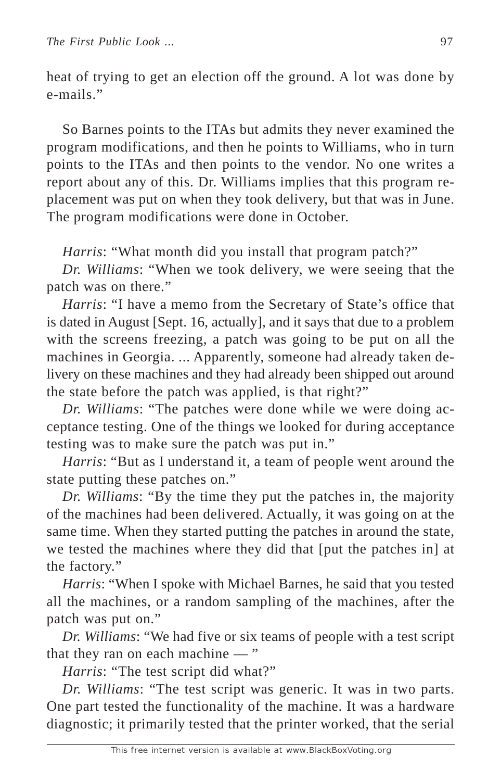heat of trying to get an election off the ground. A lot was done by e-mails."

So Barnes points to the ITAs but admits they never examined the program modifications, and then he points to Williams, who in turn points to the ITAs and then points to the vendor. No one writes a report about any of this. Dr. Williams implies that this program replacement was put on when they took delivery, but that was in June. The program modifications were done in October.

*Harris*: "What month did you install that program patch?"

*Dr. Williams*: "When we took delivery, we were seeing that the patch was on there."

*Harris*: "I have a memo from the Secretary of State's office that is dated in August [Sept. 16, actually], and it says that due to a problem with the screens freezing, a patch was going to be put on all the machines in Georgia. ... Apparently, someone had already taken delivery on these machines and they had already been shipped out around the state before the patch was applied, is that right?"

*Dr. Williams*: "The patches were done while we were doing acceptance testing. One of the things we looked for during acceptance testing was to make sure the patch was put in."

*Harris*: "But as I understand it, a team of people went around the state putting these patches on."

*Dr. Williams*: "By the time they put the patches in, the majority of the machines had been delivered. Actually, it was going on at the same time. When they started putting the patches in around the state, we tested the machines where they did that [put the patches in] at the factory."

*Harris*: "When I spoke with Michael Barnes, he said that you tested all the machines, or a random sampling of the machines, after the patch was put on."

*Dr. Williams*: "We had five or six teams of people with a test script that they ran on each machine — "

*Harris*: "The test script did what?"

*Dr. Williams*: "The test script was generic. It was in two parts. One part tested the functionality of the machine. It was a hardware diagnostic; it primarily tested that the printer worked, that the serial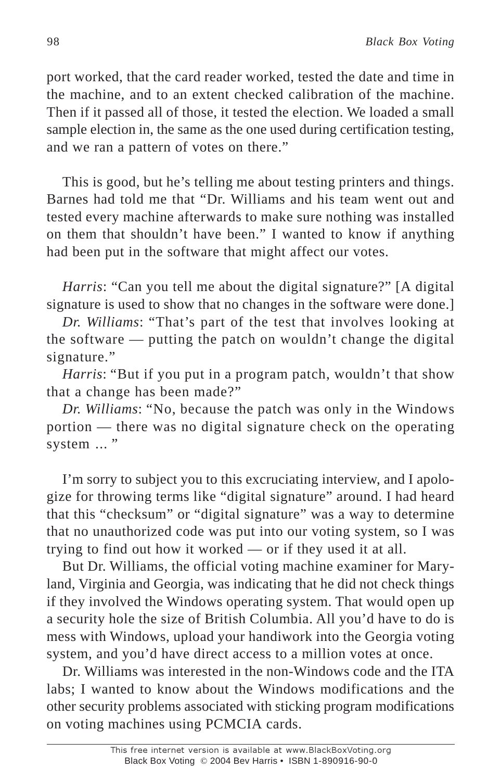port worked, that the card reader worked, tested the date and time in the machine, and to an extent checked calibration of the machine. Then if it passed all of those, it tested the election. We loaded a small sample election in, the same as the one used during certification testing, and we ran a pattern of votes on there."

This is good, but he's telling me about testing printers and things. Barnes had told me that "Dr. Williams and his team went out and tested every machine afterwards to make sure nothing was installed on them that shouldn't have been." I wanted to know if anything had been put in the software that might affect our votes.

*Harris*: "Can you tell me about the digital signature?" [A digital signature is used to show that no changes in the software were done.]

*Dr. Williams*: "That's part of the test that involves looking at the software — putting the patch on wouldn't change the digital signature."

*Harris*: "But if you put in a program patch, wouldn't that show that a change has been made?"

*Dr. Williams*: "No, because the patch was only in the Windows portion — there was no digital signature check on the operating system ..."

I'm sorry to subject you to this excruciating interview, and I apologize for throwing terms like "digital signature" around. I had heard that this "checksum" or "digital signature" was a way to determine that no unauthorized code was put into our voting system, so I was trying to find out how it worked — or if they used it at all.

But Dr. Williams, the official voting machine examiner for Maryland, Virginia and Georgia, was indicating that he did not check things if they involved the Windows operating system. That would open up a security hole the size of British Columbia. All you'd have to do is mess with Windows, upload your handiwork into the Georgia voting system, and you'd have direct access to a million votes at once.

Dr. Williams was interested in the non-Windows code and the ITA labs; I wanted to know about the Windows modifications and the other security problems associated with sticking program modifications on voting machines using PCMCIA cards.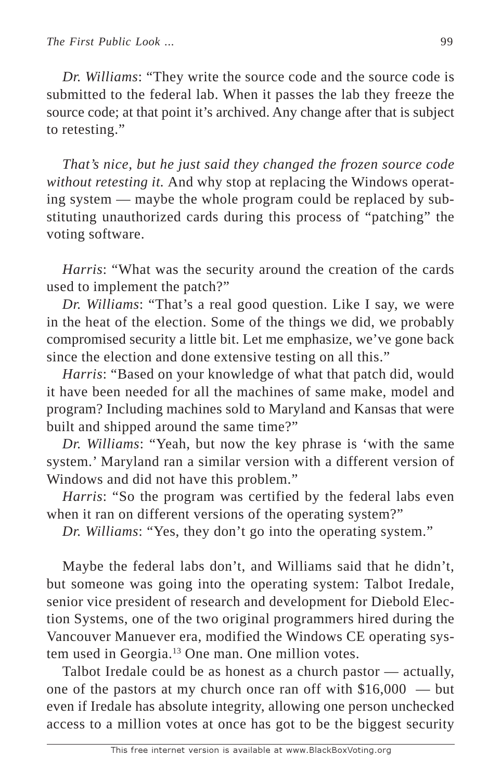*Dr. Williams*: "They write the source code and the source code is submitted to the federal lab. When it passes the lab they freeze the source code; at that point it's archived. Any change after that is subject to retesting."

*That's nice, but he just said they changed the frozen source code without retesting it.* And why stop at replacing the Windows operating system — maybe the whole program could be replaced by substituting unauthorized cards during this process of "patching" the voting software.

*Harris*: "What was the security around the creation of the cards used to implement the patch?"

*Dr. Williams*: "That's a real good question. Like I say, we were in the heat of the election. Some of the things we did, we probably compromised security a little bit. Let me emphasize, we've gone back since the election and done extensive testing on all this."

*Harris*: "Based on your knowledge of what that patch did, would it have been needed for all the machines of same make, model and program? Including machines sold to Maryland and Kansas that were built and shipped around the same time?"

*Dr. Williams*: "Yeah, but now the key phrase is 'with the same system.' Maryland ran a similar version with a different version of Windows and did not have this problem."

*Harris*: "So the program was certified by the federal labs even when it ran on different versions of the operating system?"

*Dr. Williams*: "Yes, they don't go into the operating system."

Maybe the federal labs don't, and Williams said that he didn't, but someone was going into the operating system: Talbot Iredale, senior vice president of research and development for Diebold Election Systems, one of the two original programmers hired during the Vancouver Manuever era, modified the Windows CE operating system used in Georgia.13 One man. One million votes.

Talbot Iredale could be as honest as a church pastor — actually, one of the pastors at my church once ran off with \$16,000 — but even if Iredale has absolute integrity, allowing one person unchecked access to a million votes at once has got to be the biggest security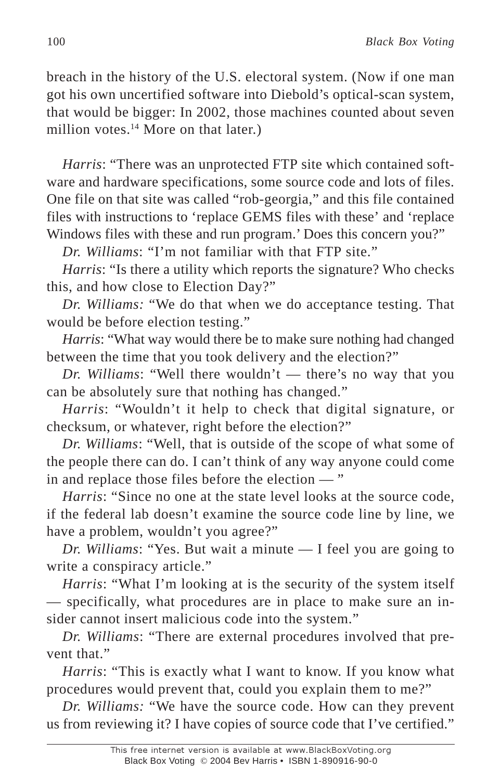breach in the history of the U.S. electoral system. (Now if one man got his own uncertified software into Diebold's optical-scan system, that would be bigger: In 2002, those machines counted about seven million votes.<sup>14</sup> More on that later.)

*Harris*: "There was an unprotected FTP site which contained software and hardware specifications, some source code and lots of files. One file on that site was called "rob-georgia," and this file contained files with instructions to 'replace GEMS files with these' and 'replace Windows files with these and run program.' Does this concern you?"

*Dr. Williams*: "I'm not familiar with that FTP site."

*Harris*: "Is there a utility which reports the signature? Who checks this, and how close to Election Day?"

*Dr. Williams:* "We do that when we do acceptance testing. That would be before election testing."

*Harris*: "What way would there be to make sure nothing had changed between the time that you took delivery and the election?"

*Dr. Williams*: "Well there wouldn't — there's no way that you can be absolutely sure that nothing has changed."

*Harris*: "Wouldn't it help to check that digital signature, or checksum, or whatever, right before the election?"

*Dr. Williams*: "Well, that is outside of the scope of what some of the people there can do. I can't think of any way anyone could come in and replace those files before the election — "

*Harris*: "Since no one at the state level looks at the source code, if the federal lab doesn't examine the source code line by line, we have a problem, wouldn't you agree?"

*Dr. Williams*: "Yes. But wait a minute — I feel you are going to write a conspiracy article."

*Harris*: "What I'm looking at is the security of the system itself — specifically, what procedures are in place to make sure an insider cannot insert malicious code into the system."

*Dr. Williams*: "There are external procedures involved that prevent that."

*Harris*: "This is exactly what I want to know. If you know what procedures would prevent that, could you explain them to me?"

*Dr. Williams:* "We have the source code. How can they prevent us from reviewing it? I have copies of source code that I've certified."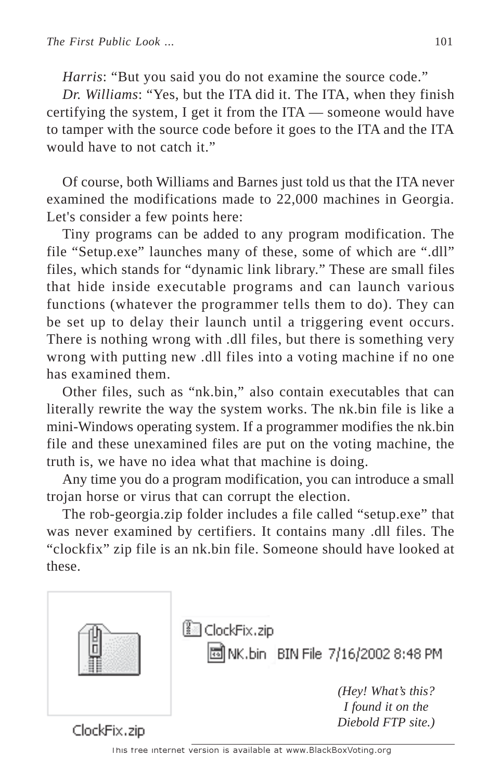*Harris*: "But you said you do not examine the source code."

*Dr. Williams*: "Yes, but the ITA did it. The ITA, when they finish certifying the system, I get it from the ITA — someone would have to tamper with the source code before it goes to the ITA and the ITA would have to not catch it."

Of course, both Williams and Barnes just told us that the ITA never examined the modifications made to 22,000 machines in Georgia. Let's consider a few points here:

Tiny programs can be added to any program modification. The file "Setup.exe" launches many of these, some of which are ".dll" files, which stands for "dynamic link library." These are small files that hide inside executable programs and can launch various functions (whatever the programmer tells them to do). They can be set up to delay their launch until a triggering event occurs. There is nothing wrong with .dll files, but there is something very wrong with putting new .dll files into a voting machine if no one has examined them.

Other files, such as "nk.bin," also contain executables that can literally rewrite the way the system works. The nk.bin file is like a mini-Windows operating system. If a programmer modifies the nk.bin file and these unexamined files are put on the voting machine, the truth is, we have no idea what that machine is doing.

Any time you do a program modification, you can introduce a small trojan horse or virus that can corrupt the election.

The rob-georgia.zip folder includes a file called "setup.exe" that was never examined by certifiers. It contains many .dll files. The "clockfix" zip file is an nk.bin file. Someone should have looked at these.

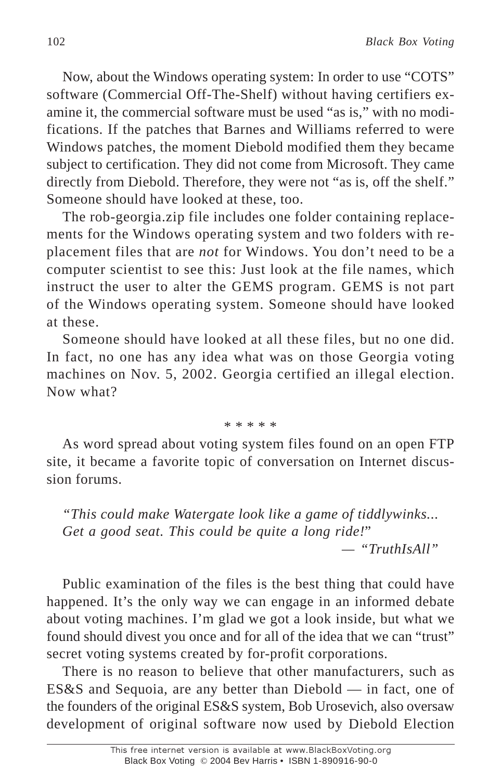Now, about the Windows operating system: In order to use "COTS" software (Commercial Off-The-Shelf) without having certifiers examine it, the commercial software must be used "as is," with no modifications. If the patches that Barnes and Williams referred to were Windows patches, the moment Diebold modified them they became subject to certification. They did not come from Microsoft. They came directly from Diebold. Therefore, they were not "as is, off the shelf." Someone should have looked at these, too.

The rob-georgia.zip file includes one folder containing replacements for the Windows operating system and two folders with replacement files that are *not* for Windows. You don't need to be a computer scientist to see this: Just look at the file names, which instruct the user to alter the GEMS program. GEMS is not part of the Windows operating system. Someone should have looked at these.

Someone should have looked at all these files, but no one did. In fact, no one has any idea what was on those Georgia voting machines on Nov. 5, 2002. Georgia certified an illegal election. Now what?

\* \* \* \* \*

As word spread about voting system files found on an open FTP site, it became a favorite topic of conversation on Internet discussion forums.

*"This could make Watergate look like a game of tiddlywinks... Get a good seat. This could be quite a long ride!*" *— "TruthIsAll"*

Public examination of the files is the best thing that could have happened. It's the only way we can engage in an informed debate about voting machines. I'm glad we got a look inside, but what we found should divest you once and for all of the idea that we can "trust" secret voting systems created by for-profit corporations.

There is no reason to believe that other manufacturers, such as ES&S and Sequoia, are any better than Diebold — in fact, one of the founders of the original ES&S system, Bob Urosevich, also oversaw development of original software now used by Diebold Election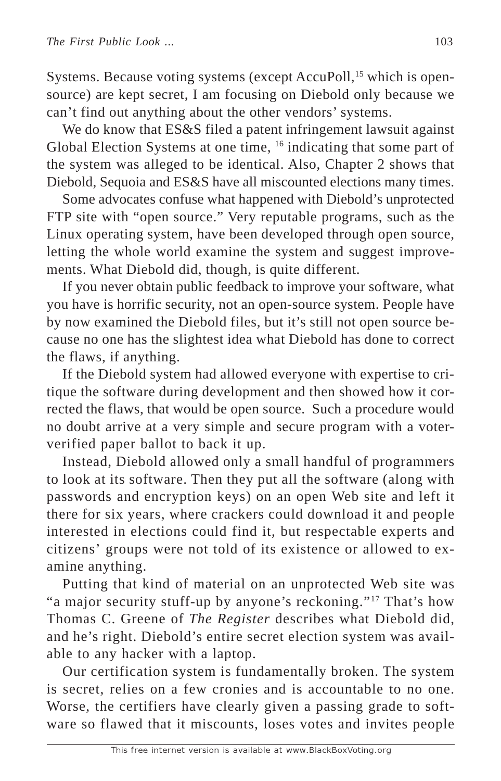Systems. Because voting systems (except AccuPoll,<sup>15</sup> which is opensource) are kept secret, I am focusing on Diebold only because we can't find out anything about the other vendors' systems.

We do know that ES&S filed a patent infringement lawsuit against Global Election Systems at one time, <sup>16</sup> indicating that some part of the system was alleged to be identical. Also, Chapter 2 shows that Diebold, Sequoia and ES&S have all miscounted elections many times.

Some advocates confuse what happened with Diebold's unprotected FTP site with "open source." Very reputable programs, such as the Linux operating system, have been developed through open source, letting the whole world examine the system and suggest improvements. What Diebold did, though, is quite different.

If you never obtain public feedback to improve your software, what you have is horrific security, not an open-source system. People have by now examined the Diebold files, but it's still not open source because no one has the slightest idea what Diebold has done to correct the flaws, if anything.

If the Diebold system had allowed everyone with expertise to critique the software during development and then showed how it corrected the flaws, that would be open source. Such a procedure would no doubt arrive at a very simple and secure program with a voterverified paper ballot to back it up.

Instead, Diebold allowed only a small handful of programmers to look at its software. Then they put all the software (along with passwords and encryption keys) on an open Web site and left it there for six years, where crackers could download it and people interested in elections could find it, but respectable experts and citizens' groups were not told of its existence or allowed to examine anything.

Putting that kind of material on an unprotected Web site was "a major security stuff-up by anyone's reckoning."<sup>17</sup> That's how Thomas C. Greene of *The Register* describes what Diebold did, and he's right. Diebold's entire secret election system was available to any hacker with a laptop.

Our certification system is fundamentally broken. The system is secret, relies on a few cronies and is accountable to no one. Worse, the certifiers have clearly given a passing grade to software so flawed that it miscounts, loses votes and invites people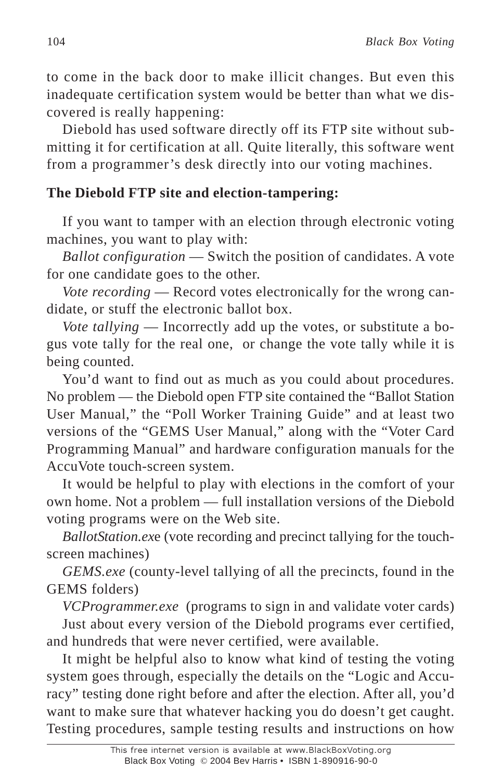to come in the back door to make illicit changes. But even this inadequate certification system would be better than what we discovered is really happening:

Diebold has used software directly off its FTP site without submitting it for certification at all. Quite literally, this software went from a programmer's desk directly into our voting machines.

# **The Diebold FTP site and election-tampering:**

If you want to tamper with an election through electronic voting machines, you want to play with:

*Ballot configuration* — Switch the position of candidates. A vote for one candidate goes to the other.

*Vote recording* — Record votes electronically for the wrong candidate, or stuff the electronic ballot box.

*Vote tallying* — Incorrectly add up the votes, or substitute a bogus vote tally for the real one, or change the vote tally while it is being counted.

You'd want to find out as much as you could about procedures. No problem — the Diebold open FTP site contained the "Ballot Station User Manual," the "Poll Worker Training Guide" and at least two versions of the "GEMS User Manual," along with the "Voter Card Programming Manual" and hardware configuration manuals for the AccuVote touch-screen system.

It would be helpful to play with elections in the comfort of your own home. Not a problem — full installation versions of the Diebold voting programs were on the Web site.

*BallotStation.ex*e (vote recording and precinct tallying for the touchscreen machines)

*GEMS.exe* (county-level tallying of all the precincts, found in the GEMS folders)

*VCProgrammer.exe* (programs to sign in and validate voter cards)

Just about every version of the Diebold programs ever certified, and hundreds that were never certified, were available.

It might be helpful also to know what kind of testing the voting system goes through, especially the details on the "Logic and Accuracy" testing done right before and after the election. After all, you'd want to make sure that whatever hacking you do doesn't get caught. Testing procedures, sample testing results and instructions on how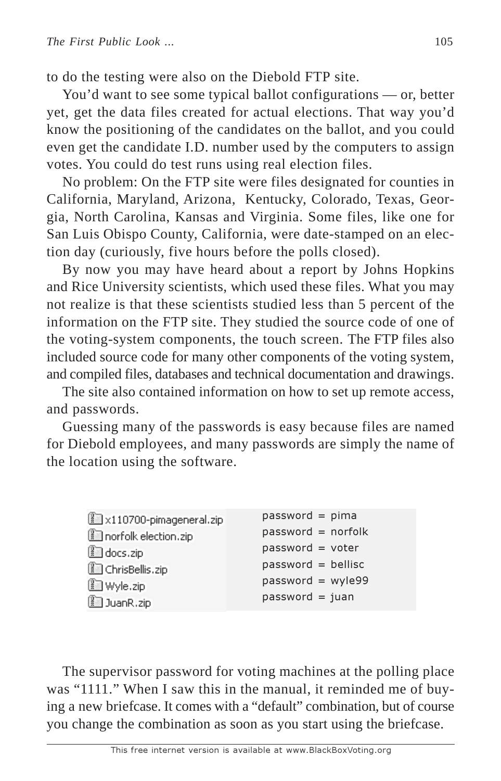to do the testing were also on the Diebold FTP site.

You'd want to see some typical ballot configurations — or, better yet, get the data files created for actual elections. That way you'd know the positioning of the candidates on the ballot, and you could even get the candidate I.D. number used by the computers to assign votes. You could do test runs using real election files.

No problem: On the FTP site were files designated for counties in California, Maryland, Arizona, Kentucky, Colorado, Texas, Georgia, North Carolina, Kansas and Virginia. Some files, like one for San Luis Obispo County, California, were date-stamped on an election day (curiously, five hours before the polls closed).

By now you may have heard about a report by Johns Hopkins and Rice University scientists, which used these files. What you may not realize is that these scientists studied less than 5 percent of the information on the FTP site. They studied the source code of one of the voting-system components, the touch screen. The FTP files also included source code for many other components of the voting system, and compiled files, databases and technical documentation and drawings.

The site also contained information on how to set up remote access, and passwords.

Guessing many of the passwords is easy because files are named for Diebold employees, and many passwords are simply the name of the location using the software.

| x110700-pimageneral.zip | $password = pima$    |
|-------------------------|----------------------|
| norfolk election.zip    | $password = norfolk$ |
| $\Box$ docs.zip         | $password = voter$   |
| ChrisBellis.zip         | $password = bellisc$ |
| <sup>2</sup> Wyle.zip   | $password = wyle99$  |
| <b>DuanR.zip</b>        | $password = java$    |

The supervisor password for voting machines at the polling place was "1111." When I saw this in the manual, it reminded me of buying a new briefcase. It comes with a "default" combination, but of course you change the combination as soon as you start using the briefcase.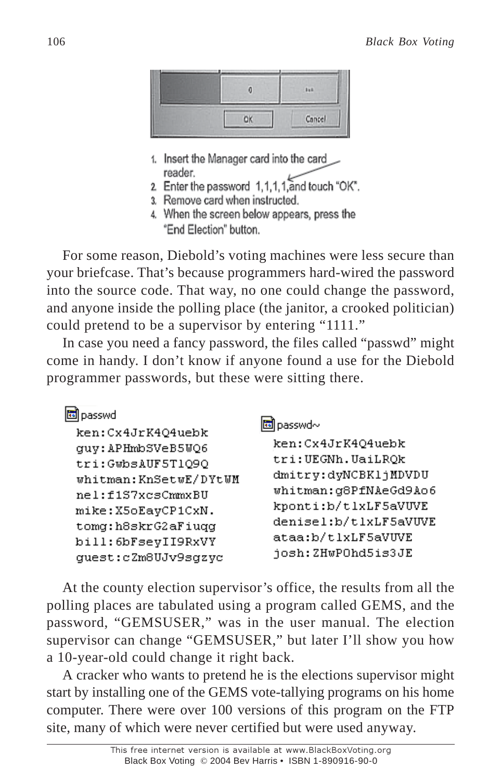

- 1. Insert the Manager card into the card reader.
- 2 Enter the password 1,1,1,1,and touch "OK".
- 3. Remove card when instructed.
- 4. When the screen below appears, press the "End Election" button,

For some reason, Diebold's voting machines were less secure than your briefcase. That's because programmers hard-wired the password into the source code. That way, no one could change the password, and anyone inside the polling place (the janitor, a crooked politician) could pretend to be a supervisor by entering "1111."

In case you need a fancy password, the files called "passwd" might come in handy. I don't know if anyone found a use for the Diebold programmer passwords, but these were sitting there.

<mark>ඕ</mark> passwd

<mark>ब</mark>ि passwd∼

ken:Cx4JrK404uebk tri:UEGNh.UaiLROk dmitry:dyNCBK1jMDVDU whitman: a8PfNAeGd9Ao6 kponti:b/tlxLF5aVUVE denisel:b/tlxLF5aVUVE ataa:b/tlxLF5aVUVE josh:ZHwPOhd5is3JE

At the county election supervisor's office, the results from all the polling places are tabulated using a program called GEMS, and the password, "GEMSUSER," was in the user manual. The election supervisor can change "GEMSUSER," but later I'll show you how a 10-year-old could change it right back.

A cracker who wants to pretend he is the elections supervisor might start by installing one of the GEMS vote-tallying programs on his home computer. There were over 100 versions of this program on the FTP site, many of which were never certified but were used anyway.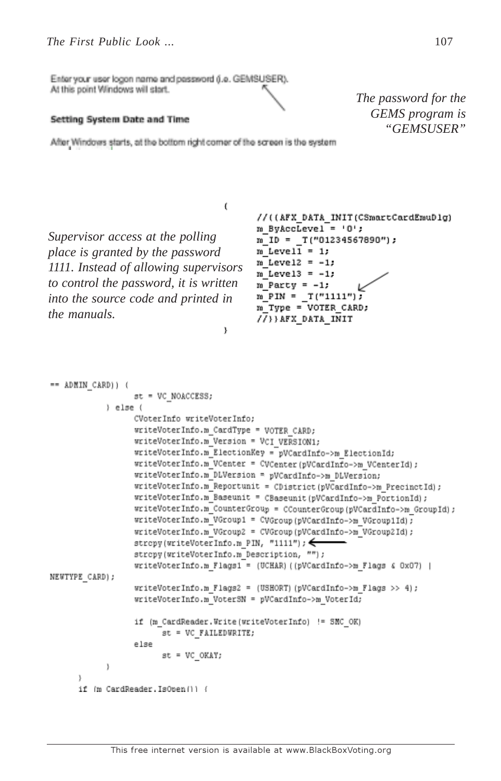Enter your user logon name and password (i.e. GEMSUSER). At this point Windows will start.

#### Setting System Date and Time

After Windows starts, at the bottom right comer of the screen is the system

€

y.

*Supervisor access at the polling place is granted by the password 1111. Instead of allowing supervisors to control the password, it is written into the source code and printed in the manuals.*

```
//((AFX DATA INIT(CSmartCardEmuDlg)
m ByAccLevel = 0';
m ID = T("01234567890");
m Level1 = 1;
m Level2 = -1.
m Level3 = -1;
m Party = -1;
\begin{array}{lll} \texttt{m\_PIN} & = & \texttt{T("1111");} \\ \texttt{m\_Type} & = & \texttt{VOTER\_CARD}; \end{array}77} } AFX DATA INIT
```

```
== ADMIN CARD)) (
                  st = VC NOACCESS;
            ) else (CVoterInfo writeVoterInfo;
                  writeVoterInfo.m_CardType = VOTER CARD;
                  writeVoterInfo.m Version = VCI VERSION1;
                  writeVoterInfo.m_ElectionKey = pVCardInfo->m_ElectionId;
                  writeVoterInfo.m_VCenter = CVCenter(pVCardInfo->m_VCenterId);
                  writeVoterInfo.m DLVersion = pVCardInfo->m DLVersion;
                  writeVoterInfo.m Reportunit = CDistrict(pVCardInfo->m PrecinctId);
                  writeVoterInfo.m_Baseunit = CBaseunit(pVCardInfo->m_PortionId);
                  writeVoterInfo.m_CounterGroup = CCounterGroup (pVCardInfo->m GroupId) ;
                  writeVoterInfo.m_VGroup1 = CVGroup(pVCardInfo->m VGroup1Id);
                  writeVoterInfo.m VGroup2 = CVGroup(pVCardInfo->m VGroup2Id);
                  strcpy(writeVoterInfo.m PIN, "1111"); \Leftarrowstrepy(writeVoterInfo.m Description, "");
                  writeVoterInfo.m Flags1 = (UCHAR)((pVCardInfo->m Flags & OxO7) |
NEWTYPE CARD) ;
                  writeVoterInfo.m Flags2 = (USHORT) (pVCardInfo->m Flags >> 4);
                  writeVoterInfo.m VoterSN = pVCardInfo->m VoterId;
                  if (m CardReader. Write(writeVoterInfo) != SMC OK)
                        st = VC FAILEDWRITE;
                  else
                        st = VC OKAY;
            3
      3
      if (m CardReader.IsOpen()) {
```
*The password for the GEMS program is "GEMSUSER"*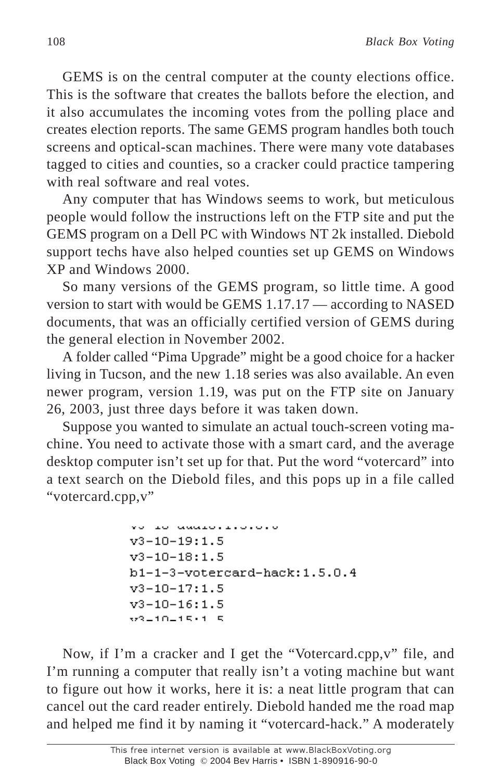GEMS is on the central computer at the county elections office. This is the software that creates the ballots before the election, and it also accumulates the incoming votes from the polling place and creates election reports. The same GEMS program handles both touch screens and optical-scan machines. There were many vote databases tagged to cities and counties, so a cracker could practice tampering with real software and real votes.

Any computer that has Windows seems to work, but meticulous people would follow the instructions left on the FTP site and put the GEMS program on a Dell PC with Windows NT 2k installed. Diebold support techs have also helped counties set up GEMS on Windows XP and Windows 2000.

So many versions of the GEMS program, so little time. A good version to start with would be GEMS 1.17.17 — according to NASED documents, that was an officially certified version of GEMS during the general election in November 2002.

A folder called "Pima Upgrade" might be a good choice for a hacker living in Tucson, and the new 1.18 series was also available. An even newer program, version 1.19, was put on the FTP site on January 26, 2003, just three days before it was taken down.

Suppose you wanted to simulate an actual touch-screen voting machine. You need to activate those with a smart card, and the average desktop computer isn't set up for that. Put the word "votercard" into a text search on the Diebold files, and this pops up in a file called "votercard.cpp,v"

```
vo lo dudlo.l.o.o.o
v3 - 10 - 19:1.5v3 - 10 - 18:1.5b1-1-3-votercard-hack:1.5.0.4v3 - 10 - 17:1.5v3 - 10 - 16:1.532 - 10 - 15 + 1
```
Now, if I'm a cracker and I get the "Votercard.cpp,v" file, and I'm running a computer that really isn't a voting machine but want to figure out how it works, here it is: a neat little program that can cancel out the card reader entirely. Diebold handed me the road map and helped me find it by naming it "votercard-hack." A moderately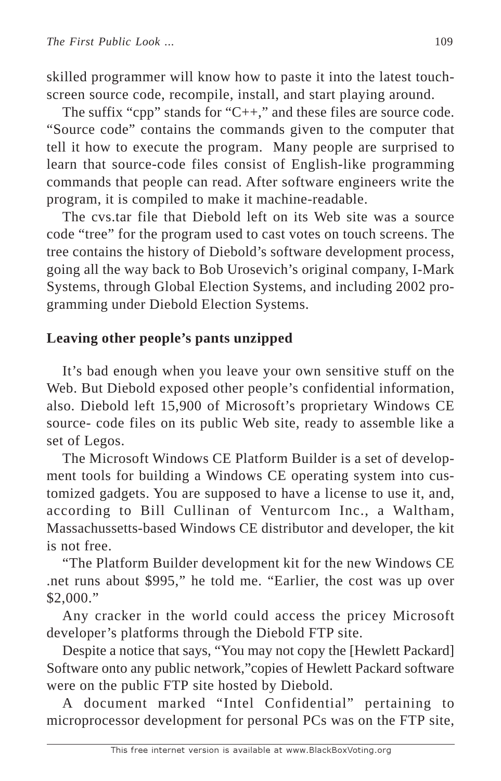skilled programmer will know how to paste it into the latest touchscreen source code, recompile, install, and start playing around.

The suffix "cpp" stands for "C++," and these files are source code. "Source code" contains the commands given to the computer that tell it how to execute the program. Many people are surprised to learn that source-code files consist of English-like programming commands that people can read. After software engineers write the program, it is compiled to make it machine-readable.

The cvs.tar file that Diebold left on its Web site was a source code "tree" for the program used to cast votes on touch screens. The tree contains the history of Diebold's software development process, going all the way back to Bob Urosevich's original company, I-Mark Systems, through Global Election Systems, and including 2002 programming under Diebold Election Systems.

## **Leaving other people's pants unzipped**

It's bad enough when you leave your own sensitive stuff on the Web. But Diebold exposed other people's confidential information, also. Diebold left 15,900 of Microsoft's proprietary Windows CE source- code files on its public Web site, ready to assemble like a set of Legos.

The Microsoft Windows CE Platform Builder is a set of development tools for building a Windows CE operating system into customized gadgets. You are supposed to have a license to use it, and, according to Bill Cullinan of Venturcom Inc., a Waltham, Massachussetts-based Windows CE distributor and developer, the kit is not free.

"The Platform Builder development kit for the new Windows CE .net runs about \$995," he told me. "Earlier, the cost was up over \$2,000."

Any cracker in the world could access the pricey Microsoft developer's platforms through the Diebold FTP site.

Despite a notice that says, "You may not copy the [Hewlett Packard] Software onto any public network,"copies of Hewlett Packard software were on the public FTP site hosted by Diebold.

A document marked "Intel Confidential" pertaining to microprocessor development for personal PCs was on the FTP site,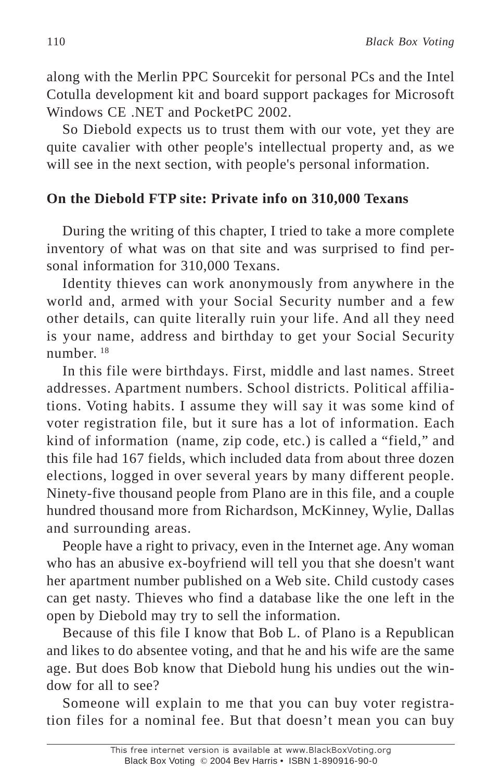along with the Merlin PPC Sourcekit for personal PCs and the Intel Cotulla development kit and board support packages for Microsoft Windows CE .NET and PocketPC 2002.

So Diebold expects us to trust them with our vote, yet they are quite cavalier with other people's intellectual property and, as we will see in the next section, with people's personal information.

## **On the Diebold FTP site: Private info on 310,000 Texans**

During the writing of this chapter, I tried to take a more complete inventory of what was on that site and was surprised to find personal information for 310,000 Texans.

Identity thieves can work anonymously from anywhere in the world and, armed with your Social Security number and a few other details, can quite literally ruin your life. And all they need is your name, address and birthday to get your Social Security number. 18

In this file were birthdays. First, middle and last names. Street addresses. Apartment numbers. School districts. Political affiliations. Voting habits. I assume they will say it was some kind of voter registration file, but it sure has a lot of information. Each kind of information (name, zip code, etc.) is called a "field," and this file had 167 fields, which included data from about three dozen elections, logged in over several years by many different people. Ninety-five thousand people from Plano are in this file, and a couple hundred thousand more from Richardson, McKinney, Wylie, Dallas and surrounding areas.

People have a right to privacy, even in the Internet age. Any woman who has an abusive ex-boyfriend will tell you that she doesn't want her apartment number published on a Web site. Child custody cases can get nasty. Thieves who find a database like the one left in the open by Diebold may try to sell the information.

Because of this file I know that Bob L. of Plano is a Republican and likes to do absentee voting, and that he and his wife are the same age. But does Bob know that Diebold hung his undies out the window for all to see?

Someone will explain to me that you can buy voter registration files for a nominal fee. But that doesn't mean you can buy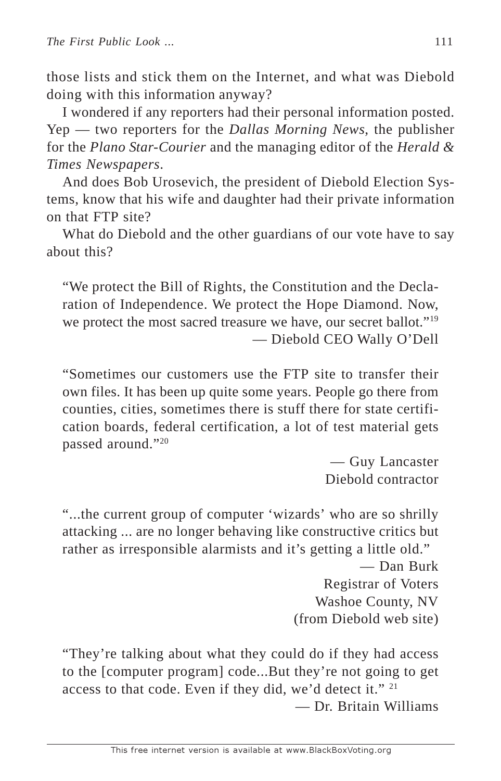those lists and stick them on the Internet, and what was Diebold doing with this information anyway?

I wondered if any reporters had their personal information posted. Yep — two reporters for the *Dallas Morning News*, the publisher for the *Plano Star-Courier* and the managing editor of the *Herald & Times Newspapers*.

And does Bob Urosevich, the president of Diebold Election Systems, know that his wife and daughter had their private information on that FTP site?

What do Diebold and the other guardians of our vote have to say about this?

"We protect the Bill of Rights, the Constitution and the Declaration of Independence. We protect the Hope Diamond. Now, we protect the most sacred treasure we have, our secret ballot."<sup>19</sup> — Diebold CEO Wally O'Dell

"Sometimes our customers use the FTP site to transfer their own files. It has been up quite some years. People go there from counties, cities, sometimes there is stuff there for state certification boards, federal certification, a lot of test material gets passed around."20

> — Guy Lancaster Diebold contractor

"...the current group of computer 'wizards' who are so shrilly attacking ... are no longer behaving like constructive critics but rather as irresponsible alarmists and it's getting a little old."

— Dan Burk Registrar of Voters Washoe County, NV (from Diebold web site)

"They're talking about what they could do if they had access to the [computer program] code...But they're not going to get access to that code. Even if they did, we'd detect it." 21

— Dr. Britain Williams